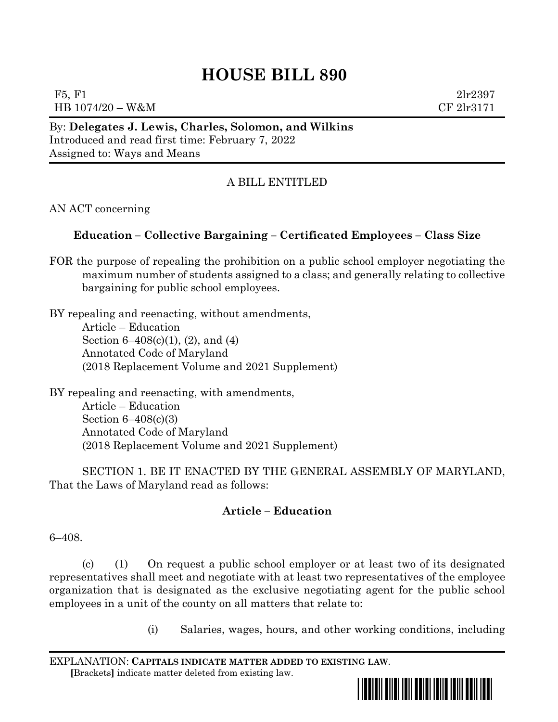# **HOUSE BILL 890**

F5, F1  $2\text{lr}2397$ HB 1074/20 – W&M CF 2lr3171

By: **Delegates J. Lewis, Charles, Solomon, and Wilkins** Introduced and read first time: February 7, 2022 Assigned to: Ways and Means

## A BILL ENTITLED

AN ACT concerning

### **Education – Collective Bargaining – Certificated Employees – Class Size**

FOR the purpose of repealing the prohibition on a public school employer negotiating the maximum number of students assigned to a class; and generally relating to collective bargaining for public school employees.

BY repealing and reenacting, without amendments, Article – Education Section 6–408(c)(1), (2), and (4) Annotated Code of Maryland (2018 Replacement Volume and 2021 Supplement)

BY repealing and reenacting, with amendments, Article – Education Section 6–408(c)(3) Annotated Code of Maryland (2018 Replacement Volume and 2021 Supplement)

SECTION 1. BE IT ENACTED BY THE GENERAL ASSEMBLY OF MARYLAND, That the Laws of Maryland read as follows:

### **Article – Education**

6–408.

(c) (1) On request a public school employer or at least two of its designated representatives shall meet and negotiate with at least two representatives of the employee organization that is designated as the exclusive negotiating agent for the public school employees in a unit of the county on all matters that relate to:

(i) Salaries, wages, hours, and other working conditions, including